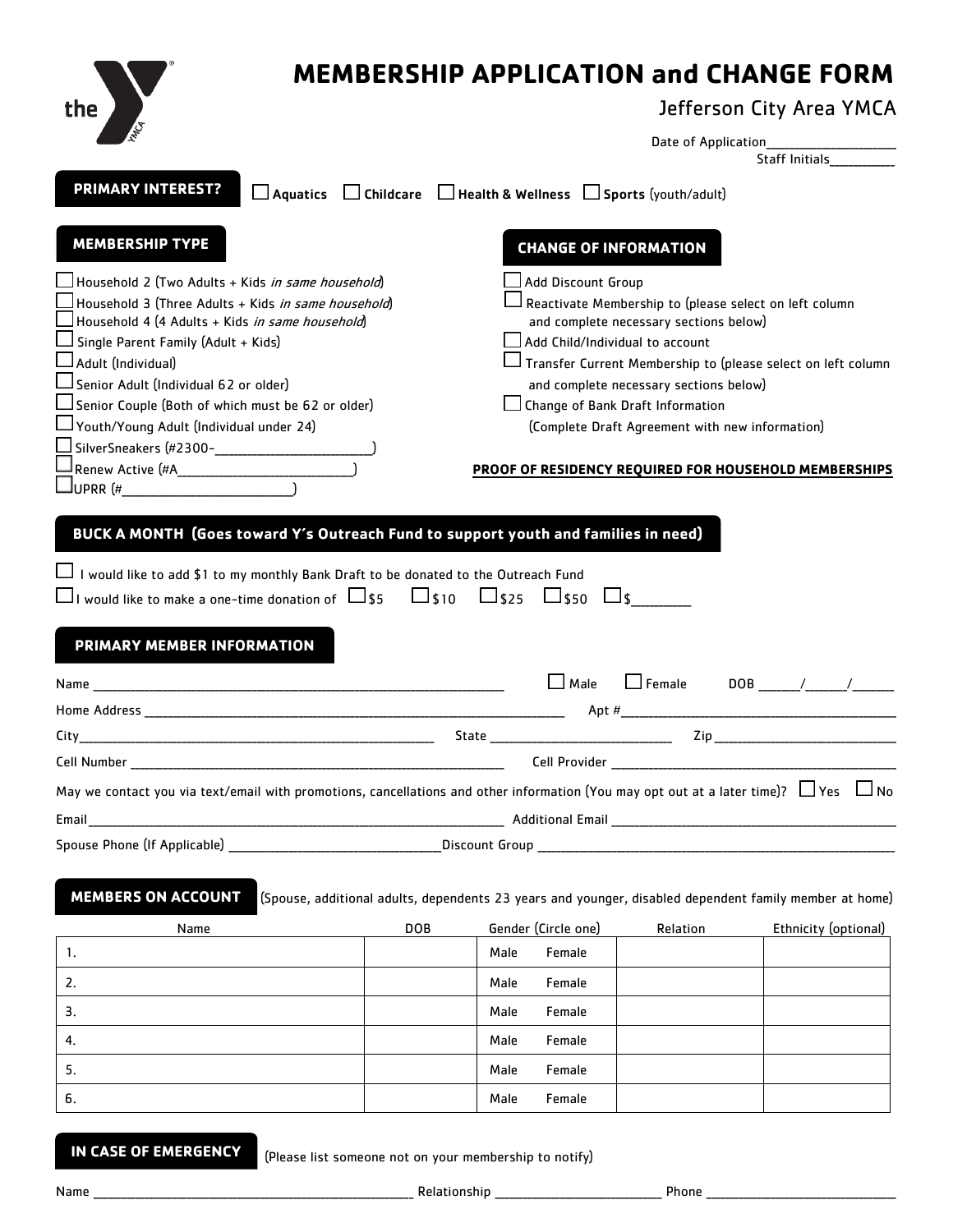| the                                                                                                                                                       | <b>MEMBERSHIP APPLICATION and CHANGE FORM</b><br>Jefferson City Area YMCA                                                                                                                                                      |
|-----------------------------------------------------------------------------------------------------------------------------------------------------------|--------------------------------------------------------------------------------------------------------------------------------------------------------------------------------------------------------------------------------|
|                                                                                                                                                           | Staff Initials <b>Staff</b>                                                                                                                                                                                                    |
| <b>PRIMARY INTEREST?</b>                                                                                                                                  | $\Box$ Aquatics $\Box$ Childcare $\Box$ Health & Wellness $\Box$ Sports (youth/adult)                                                                                                                                          |
| <b>MEMBERSHIP TYPE</b>                                                                                                                                    | <b>CHANGE OF INFORMATION</b>                                                                                                                                                                                                   |
|                                                                                                                                                           |                                                                                                                                                                                                                                |
| Household 2 (Two Adults + Kids <i>in same household</i> )                                                                                                 | Add Discount Group                                                                                                                                                                                                             |
| Household 3 (Three Adults + Kids <i>in same household</i> )<br>」Household 4 (4 Adults + Kids <i>in same household</i> )                                   | Reactivate Membership to (please select on left column<br>and complete necessary sections below)                                                                                                                               |
| Single Parent Family (Adult + Kids)                                                                                                                       | Add Child/Individual to account                                                                                                                                                                                                |
| $\Box$ Adult (Individual)                                                                                                                                 | Transfer Current Membership to (please select on left column                                                                                                                                                                   |
| $\Box$ Senior Adult (Individual 62 or older)                                                                                                              | and complete necessary sections below)                                                                                                                                                                                         |
| $\sf J$ Senior Couple (Both of which must be 62 or older)                                                                                                 | Change of Bank Draft Information                                                                                                                                                                                               |
| Youth/Young Adult (Individual under 24)                                                                                                                   | (Complete Draft Agreement with new information)                                                                                                                                                                                |
| <br> Renew Active (#A______________________________                                                                                                       | <b>PROOF OF RESIDENCY REQUIRED FOR HOUSEHOLD MEMBERSHIPS</b>                                                                                                                                                                   |
|                                                                                                                                                           |                                                                                                                                                                                                                                |
| $\Box$ I would like to make a one-time donation of $\Box$ \$5 $\Box$ \$10 $\Box$ \$25 $\Box$ \$50 $\Box$ \$<br>PRIMARY MEMBER INFORMATION<br>Name<br>City | $\Box$ Female<br>$\Box$ Male<br>State<br>Zip                                                                                                                                                                                   |
|                                                                                                                                                           |                                                                                                                                                                                                                                |
|                                                                                                                                                           | Cell Provider and the contract of the contract of the contract of the contract of the contract of the contract of the contract of the contract of the contract of the contract of the contract of the contract of the contract |
|                                                                                                                                                           | May we contact you via text/email with promotions, cancellations and other information (You may opt out at a later time)? $\Box$ Yes $\Box$ No                                                                                 |
| Email                                                                                                                                                     |                                                                                                                                                                                                                                |
|                                                                                                                                                           |                                                                                                                                                                                                                                |
| <b>MEMBERS ON ACCOUNT</b>                                                                                                                                 | (Spouse, additional adults, dependents 23 years and younger, disabled dependent family member at home)                                                                                                                         |
| Name                                                                                                                                                      | <b>DOB</b><br>Gender (Circle one)<br>Relation<br>Ethnicity (optional)                                                                                                                                                          |
| 1.                                                                                                                                                        | Male<br>Female                                                                                                                                                                                                                 |
| 2.                                                                                                                                                        | Female<br>Male                                                                                                                                                                                                                 |
| 3.                                                                                                                                                        | Female<br>Male                                                                                                                                                                                                                 |
| 4.                                                                                                                                                        | Female<br>Male                                                                                                                                                                                                                 |
|                                                                                                                                                           |                                                                                                                                                                                                                                |
| 5.<br>6.                                                                                                                                                  | Female<br>Male<br>Female<br>Male                                                                                                                                                                                               |

**IN CASE OF EMERGENCY**

(Please list someone not on your membership to notify)